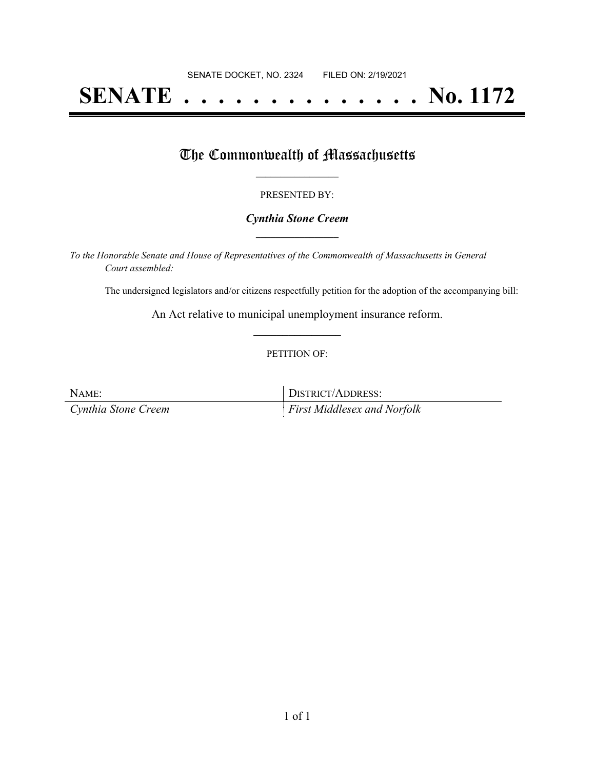# **SENATE . . . . . . . . . . . . . . No. 1172**

# The Commonwealth of Massachusetts

## PRESENTED BY:

## *Cynthia Stone Creem* **\_\_\_\_\_\_\_\_\_\_\_\_\_\_\_\_\_**

*To the Honorable Senate and House of Representatives of the Commonwealth of Massachusetts in General Court assembled:*

The undersigned legislators and/or citizens respectfully petition for the adoption of the accompanying bill:

An Act relative to municipal unemployment insurance reform. **\_\_\_\_\_\_\_\_\_\_\_\_\_\_\_**

### PETITION OF:

| NAME:               | <b>DISTRICT/ADDRESS:</b>           |
|---------------------|------------------------------------|
| Cynthia Stone Creem | <b>First Middlesex and Norfolk</b> |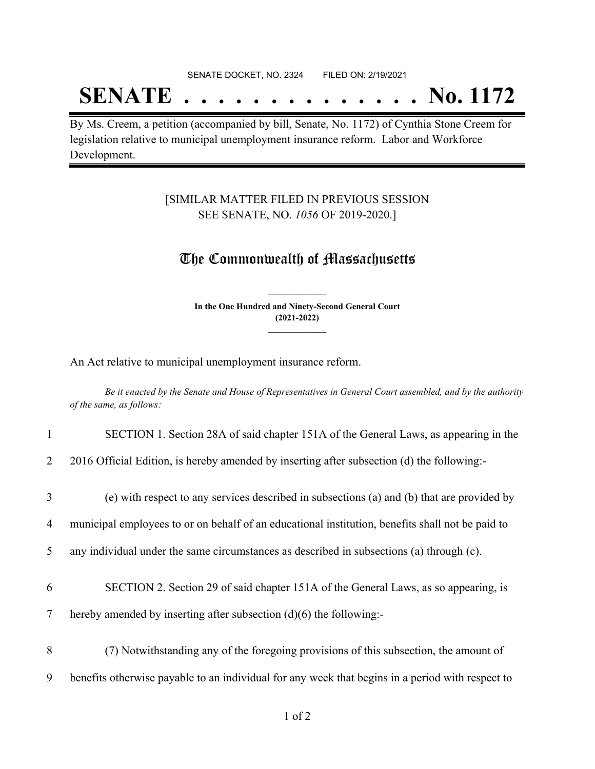#### SENATE DOCKET, NO. 2324 FILED ON: 2/19/2021

# **SENATE . . . . . . . . . . . . . . No. 1172**

By Ms. Creem, a petition (accompanied by bill, Senate, No. 1172) of Cynthia Stone Creem for legislation relative to municipal unemployment insurance reform. Labor and Workforce Development.

# [SIMILAR MATTER FILED IN PREVIOUS SESSION SEE SENATE, NO. *1056* OF 2019-2020.]

# The Commonwealth of Massachusetts

**In the One Hundred and Ninety-Second General Court (2021-2022) \_\_\_\_\_\_\_\_\_\_\_\_\_\_\_**

**\_\_\_\_\_\_\_\_\_\_\_\_\_\_\_**

An Act relative to municipal unemployment insurance reform.

Be it enacted by the Senate and House of Representatives in General Court assembled, and by the authority *of the same, as follows:*

### 1 SECTION 1. Section 28A of said chapter 151A of the General Laws, as appearing in the

2 2016 Official Edition, is hereby amended by inserting after subsection (d) the following:-

| (e) with respect to any services described in subsections (a) and (b) that are provided by |
|--------------------------------------------------------------------------------------------|
|--------------------------------------------------------------------------------------------|

4 municipal employees to or on behalf of an educational institution, benefits shall not be paid to

5 any individual under the same circumstances as described in subsections (a) through (c).

- 6 SECTION 2. Section 29 of said chapter 151A of the General Laws, as so appearing, is
- 7 hereby amended by inserting after subsection (d)(6) the following:-
- 8 (7) Notwithstanding any of the foregoing provisions of this subsection, the amount of 9 benefits otherwise payable to an individual for any week that begins in a period with respect to